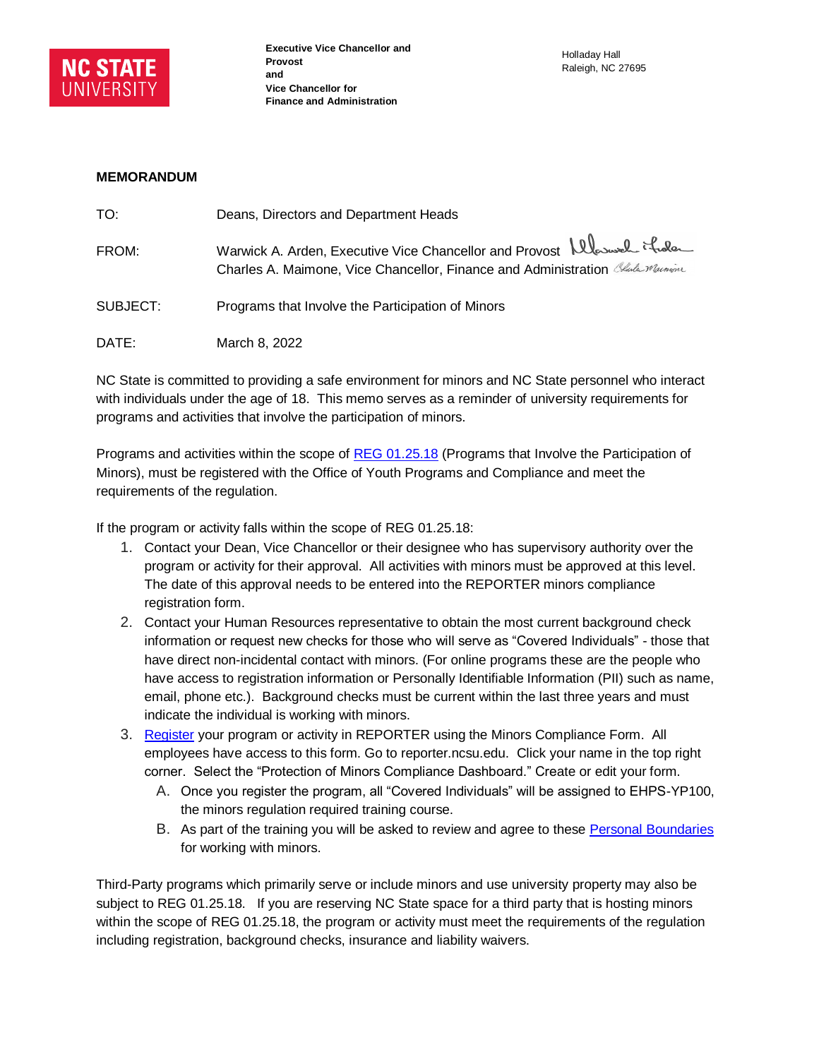

## **MEMORANDUM**

| TO:      | Deans, Directors and Department Heads                                                                                                                       |
|----------|-------------------------------------------------------------------------------------------------------------------------------------------------------------|
| FROM:    | Warwick A. Arden, Executive Vice Chancellor and Provost Albousel it de<br>Charles A. Maimone, Vice Chancellor, Finance and Administration Charles Macrosine |
| SUBJECT: | Programs that Involve the Participation of Minors                                                                                                           |
| DATE:    | March 8, 2022                                                                                                                                               |

NC State is committed to providing a safe environment for minors and NC State personnel who interact with individuals under the age of 18. This memo serves as a reminder of university requirements for programs and activities that involve the participation of minors.

Programs and activities within the scope of [REG 01.25.18](https://policies.ncsu.edu/regulation/reg-01-25-18/) (Programs that Involve the Participation of Minors), must be registered with the Office of Youth Programs and Compliance and meet the requirements of the regulation.

If the program or activity falls within the scope of REG 01.25.18:

- 1. Contact your Dean, Vice Chancellor or their designee who has supervisory authority over the program or activity for their approval. All activities with minors must be approved at this level. The date of this approval needs to be entered into the REPORTER minors compliance registration form.
- 2. Contact your Human Resources representative to obtain the most current background check information or request new checks for those who will serve as "Covered Individuals" - those that have direct non-incidental contact with minors. (For online programs these are the people who have access to registration information or Personally Identifiable Information (PII) such as name, email, phone etc.). Background checks must be current within the last three years and must indicate the individual is working with minors.
- 3. [Register](https://vptm.ehps.ncsu.edu/home/youth-programs-compliance/registering-a-program/) your program or activity in REPORTER using the Minors Compliance Form. All employees have access to this form. Go to reporter.ncsu.edu. Click your name in the top right corner. Select the "Protection of Minors Compliance Dashboard." Create or edit your form.
	- A. Once you register the program, all "Covered Individuals" will be assigned to EHPS-YP100, the minors regulation required training course.
	- B. As part of the training you will be asked to review and agree to thes[e Personal Boundaries](https://drive.google.com/file/d/1AzkY01AaAHk7nzH2zvQ23So0avjOtfEt/view) for working with minors.

Third-Party programs which primarily serve or include minors and use university property may also be subject to REG 01.25.18. If you are reserving NC State space for a third party that is hosting minors within the scope of REG 01.25.18, the program or activity must meet the requirements of the regulation including registration, background checks, insurance and liability waivers.